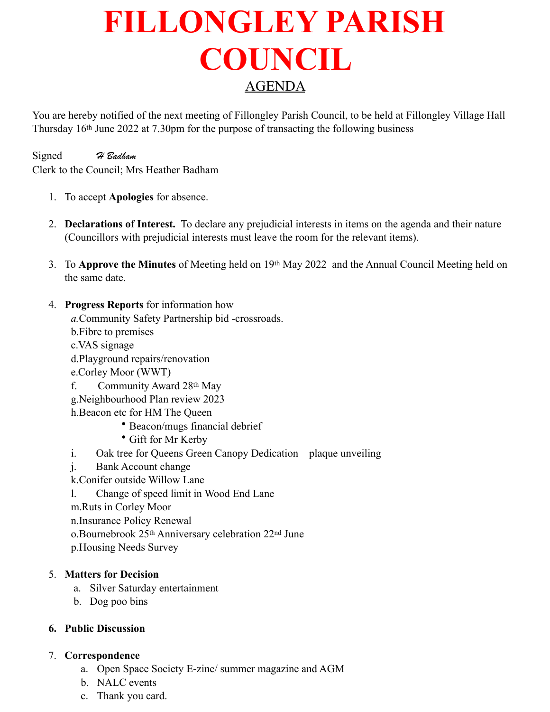# **FILLONGLEY PARISH COUNCIL**  AGENDA

You are hereby notified of the next meeting of Fillongley Parish Council, to be held at Fillongley Village Hall Thursday 16th June 2022 at 7.30pm for the purpose of transacting the following business

Signed *H Badham* Clerk to the Council; Mrs Heather Badham

- 1. To accept **Apologies** for absence.
- 2. **Declarations of Interest.** To declare any prejudicial interests in items on the agenda and their nature (Councillors with prejudicial interests must leave the room for the relevant items).
- 3. To **Approve the Minutes** of Meeting held on 19th May 2022 and the Annual Council Meeting held on the same date.
- 4. **Progress Reports** for information how

*a.*Community Safety Partnership bid -crossroads.

- b.Fibre to premises
- c.VAS signage
- d.Playground repairs/renovation
- e.Corley Moor (WWT)
- f. Community Award 28th May
- g.Neighbourhood Plan review 2023
- h.Beacon etc for HM The Queen
	- Beacon/mugs financial debrief
	- Gift for Mr Kerby
- i. Oak tree for Queens Green Canopy Dedication plaque unveiling
- j. Bank Account change
- k.Conifer outside Willow Lane
- l. Change of speed limit in Wood End Lane
- m.Ruts in Corley Moor
- n.Insurance Policy Renewal
- o.Bournebrook 25th Anniversary celebration 22nd June
- p.Housing Needs Survey

#### 5. **Matters for Decision**

- a. Silver Saturday entertainment
- b. Dog poo bins

#### **6. Public Discussion**

#### 7. **Correspondence**

- a. Open Space Society E-zine/ summer magazine and AGM
- b. NALC events
- c. Thank you card.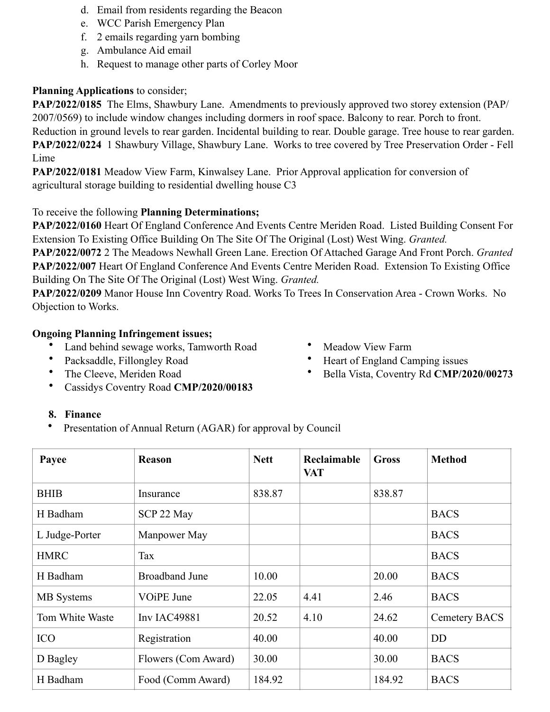- d. Email from residents regarding the Beacon
- e. WCC Parish Emergency Plan
- f. 2 emails regarding yarn bombing
- g. Ambulance Aid email
- h. Request to manage other parts of Corley Moor

## **Planning Applications** to consider;

**PAP/2022/0185** The Elms, Shawbury Lane. Amendments to previously approved two storey extension (PAP/ 2007/0569) to include window changes including dormers in roof space. Balcony to rear. Porch to front. Reduction in ground levels to rear garden. Incidental building to rear. Double garage. Tree house to rear garden. **PAP/2022/0224** 1 Shawbury Village, Shawbury Lane. Works to tree covered by Tree Preservation Order - Fell Lime

**PAP/2022/0181** Meadow View Farm, Kinwalsey Lane. Prior Approval application for conversion of agricultural storage building to residential dwelling house C3

## To receive the following **Planning Determinations;**

**PAP/2022/0160** Heart Of England Conference And Events Centre Meriden Road. Listed Building Consent For Extension To Existing Office Building On The Site Of The Original (Lost) West Wing. *Granted.*

**PAP/2022/0072** 2 The Meadows Newhall Green Lane. Erection Of Attached Garage And Front Porch. *Granted*  **PAP/2022/007** Heart Of England Conference And Events Centre Meriden Road. Extension To Existing Office Building On The Site Of The Original (Lost) West Wing. *Granted.* 

**PAP/2022/0209** Manor House Inn Coventry Road. Works To Trees In Conservation Area - Crown Works. No Objection to Works.

## **Ongoing Planning Infringement issues;**

- Land behind sewage works, Tamworth Road
- Packsaddle, Fillongley Road
- The Cleeve, Meriden Road
- Cassidys Coventry Road **CMP/2020/00183**

#### • Meadow View Farm

- Heart of England Camping issues
- Bella Vista, Coventry Rd **CMP/2020/00273**

## **8. Finance**

Presentation of Annual Return (AGAR) for approval by Council

| Payee             | <b>Reason</b>         | <b>Nett</b> | <b>Reclaimable</b><br><b>VAT</b> | <b>Gross</b> | <b>Method</b> |
|-------------------|-----------------------|-------------|----------------------------------|--------------|---------------|
| <b>BHIB</b>       | Insurance             | 838.87      |                                  | 838.87       |               |
| H Badham          | SCP 22 May            |             |                                  |              | <b>BACS</b>   |
| L Judge-Porter    | Manpower May          |             |                                  |              | <b>BACS</b>   |
| <b>HMRC</b>       | Tax                   |             |                                  |              | <b>BACS</b>   |
| H Badham          | <b>Broadband June</b> | 10.00       |                                  | 20.00        | <b>BACS</b>   |
| <b>MB</b> Systems | VOiPE June            | 22.05       | 4.41                             | 2.46         | <b>BACS</b>   |
| Tom White Waste   | <b>Inv IAC49881</b>   | 20.52       | 4.10                             | 24.62        | Cemetery BACS |
| <b>ICO</b>        | Registration          | 40.00       |                                  | 40.00        | <b>DD</b>     |
| D Bagley          | Flowers (Com Award)   | 30.00       |                                  | 30.00        | <b>BACS</b>   |
| H Badham          | Food (Comm Award)     | 184.92      |                                  | 184.92       | <b>BACS</b>   |